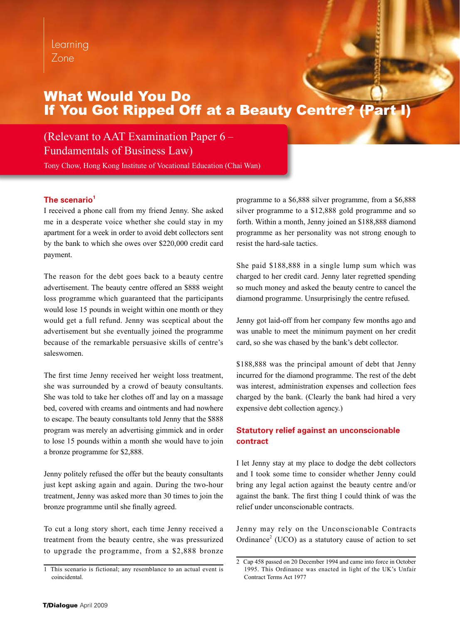# What Would You Do If You Got Ripped Off at a Beauty Centre?

# (Relevant to AAT Examination Paper 6 – Fundamentals of Business Law)

Tony Chow, Hong Kong Institute of Vocational Education (Chai Wan)

# The scenario<sup>1</sup>

I received a phone call from my friend Jenny. She asked me in a desperate voice whether she could stay in my apartment for a week in order to avoid debt collectors sent by the bank to which she owes over \$220,000 credit card payment.

The reason for the debt goes back to a beauty centre advertisement. The beauty centre offered an \$888 weight loss programme which guaranteed that the participants would lose 15 pounds in weight within one month or they would get a full refund. Jenny was sceptical about the advertisement but she eventually joined the programme because of the remarkable persuasive skills of centre's saleswomen.

The first time Jenny received her weight loss treatment, she was surrounded by a crowd of beauty consultants. She was told to take her clothes off and lay on a massage bed, covered with creams and ointments and had nowhere to escape. The beauty consultants told Jenny that the \$888 program was merely an advertising gimmick and in order to lose 15 pounds within a month she would have to join a bronze programme for \$2,888.

Jenny politely refused the offer but the beauty consultants just kept asking again and again. During the two-hour treatment, Jenny was asked more than 30 times to join the bronze programme until she finally agreed.

To cut a long story short, each time Jenny received a treatment from the beauty centre, she was pressurized to upgrade the programme, from a \$2,888 bronze

programme to a \$6,888 silver programme, from a \$6,888 silver programme to a \$12,888 gold programme and so forth. Within a month, Jenny joined an \$188,888 diamond programme as her personality was not strong enough to resist the hard-sale tactics.

She paid \$188,888 in a single lump sum which was charged to her credit card. Jenny later regretted spending so much money and asked the beauty centre to cancel the diamond programme. Unsurprisingly the centre refused.

Jenny got laid-off from her company few months ago and was unable to meet the minimum payment on her credit card, so she was chased by the bank's debt collector.

\$188,888 was the principal amount of debt that Jenny incurred for the diamond programme. The rest of the debt was interest, administration expenses and collection fees charged by the bank. (Clearly the bank had hired a very expensive debt collection agency.)

# **Statutory relief against an unconscionable contract**

I let Jenny stay at my place to dodge the debt collectors and I took some time to consider whether Jenny could bring any legal action against the beauty centre and/or against the bank. The first thing I could think of was the relief under unconscionable contracts.

Jenny may rely on the Unconscionable Contracts Ordinance<sup>2</sup> (UCO) as a statutory cause of action to set

<sup>1</sup> This scenario is fictional; any resemblance to an actual event is coincidental.

<sup>2</sup> Cap 458 passed on 20 December 1994 and came into force in October 1995. This Ordinance was enacted in light of the UK's Unfair Contract Terms Act 1977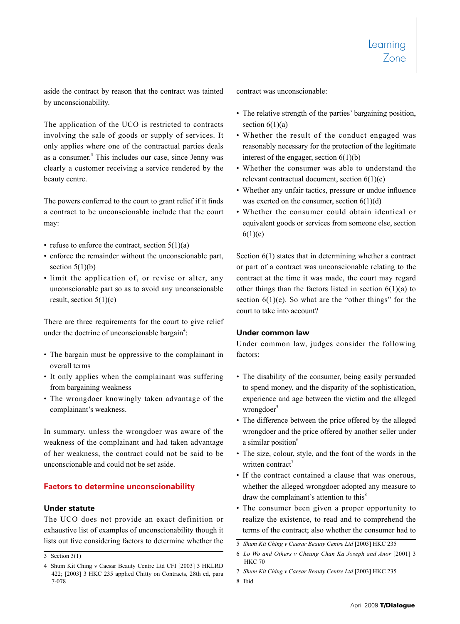aside the contract by reason that the contract was tainted by unconscionability.

The application of the UCO is restricted to contracts involving the sale of goods or supply of services. It only applies where one of the contractual parties deals as a consumer.<sup>3</sup> This includes our case, since Jenny was clearly a customer receiving a service rendered by the beauty centre.

The powers conferred to the court to grant relief if it finds a contract to be unconscionable include that the court may:

- refuse to enforce the contract, section  $5(1)(a)$
- enforce the remainder without the unconscionable part, section  $5(1)(b)$
- limit the application of, or revise or alter, any unconscionable part so as to avoid any unconscionable result, section  $5(1)(c)$

There are three requirements for the court to give relief under the doctrine of unconscionable bargain<sup>4</sup>:

- The bargain must be oppressive to the complainant in overall terms
- It only applies when the complainant was suffering from bargaining weakness
- The wrongdoer knowingly taken advantage of the complainant's weakness.

In summary, unless the wrongdoer was aware of the weakness of the complainant and had taken advantage of her weakness, the contract could not be said to be unconscionable and could not be set aside.

### **Factors to determine unconscionability**

#### **Under statute**

The UCO does not provide an exact definition or exhaustive list of examples of unconscionability though it lists out five considering factors to determine whether the contract was unconscionable:

- The relative strength of the parties' bargaining position, section  $6(1)(a)$
- Whether the result of the conduct engaged was reasonably necessary for the protection of the legitimate interest of the engager, section  $6(1)(b)$
- Whether the consumer was able to understand the relevant contractual document, section 6(1)(c)
- Whether any unfair tactics, pressure or undue influence was exerted on the consumer, section  $6(1)(d)$
- Whether the consumer could obtain identical or equivalent goods or services from someone else, section  $6(1)(e)$

Section  $6(1)$  states that in determining whether a contract or part of a contract was unconscionable relating to the contract at the time it was made, the court may regard other things than the factors listed in section  $6(1)(a)$  to section  $6(1)(e)$ . So what are the "other things" for the court to take into account?

#### **Under common law**

Under common law, judges consider the following factors:

- The disability of the consumer, being easily persuaded to spend money, and the disparity of the sophistication, experience and age between the victim and the alleged wrongdoer $5$
- The difference between the price offered by the alleged wrongdoer and the price offered by another seller under a similar position<sup>6</sup>
- The size, colour, style, and the font of the words in the written contract<sup>7</sup>
- If the contract contained a clause that was onerous, whether the alleged wrongdoer adopted any measure to draw the complainant's attention to this<sup>8</sup>
- The consumer been given a proper opportunity to realize the existence, to read and to comprehend the terms of the contract; also whether the consumer had to

 $\overline{3}$  Section 3(1)

<sup>4</sup> Shum Kit Ching v Caesar Beauty Centre Ltd CFI [2003] 3 HKLRD 422; [2003] 3 HKC 235 applied Chitty on Contracts, 28th ed, para 7-078

<sup>5</sup> *Shum Kit Ching v Caesar Beauty Centre Ltd* [2003] HKC 235

<sup>6</sup> *Lo Wo and Others v Cheung Chan Ka Joseph and Anor* [2001] 3 HKC 70

<sup>7</sup> *Shum Kit Ching v Caesar Beauty Centre Ltd* [2003] HKC 235

<sup>8</sup> Ibid